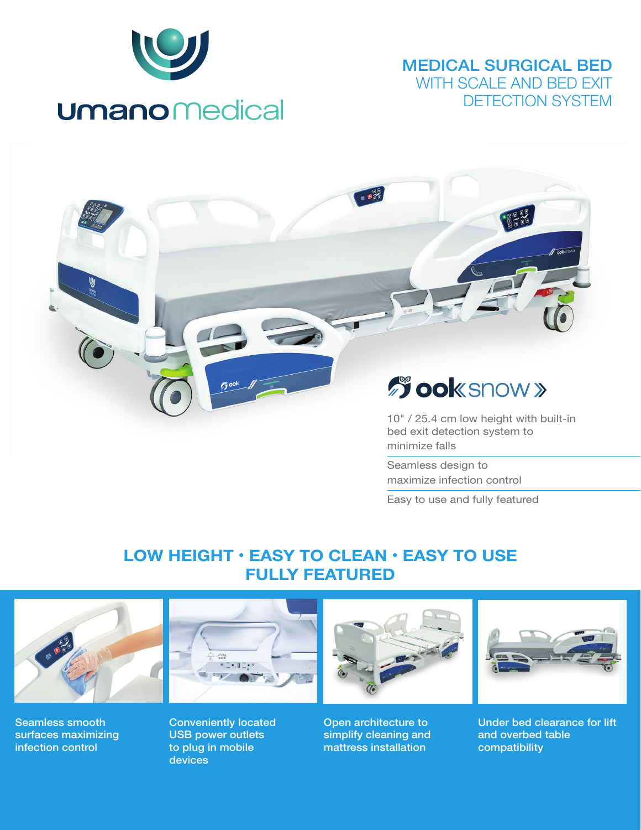

## MEDICAL SURGICAL BED WITH SCALE AND BED EXIT DETECTION SYSTEM

 $\sqrt{\frac{1}{\text{m}}\text{m}}$ 

# **Sook snow »**

10" / 25.4 cm low height with built-in bed exit detection system to minimize falls

Seamless design to maximize infection control

Easy to use and fully featured

# LOW HEIGHT • EASY TO CLEAN • EASY TO USE FULLY FEATURED



Seamless smooth surfaces maximizing infection control



Conveniently located USB power outlets to plug in mobile devices



Open architecture to simplify cleaning and mattress installation



Under bed clearance for lift and overbed table compatibility